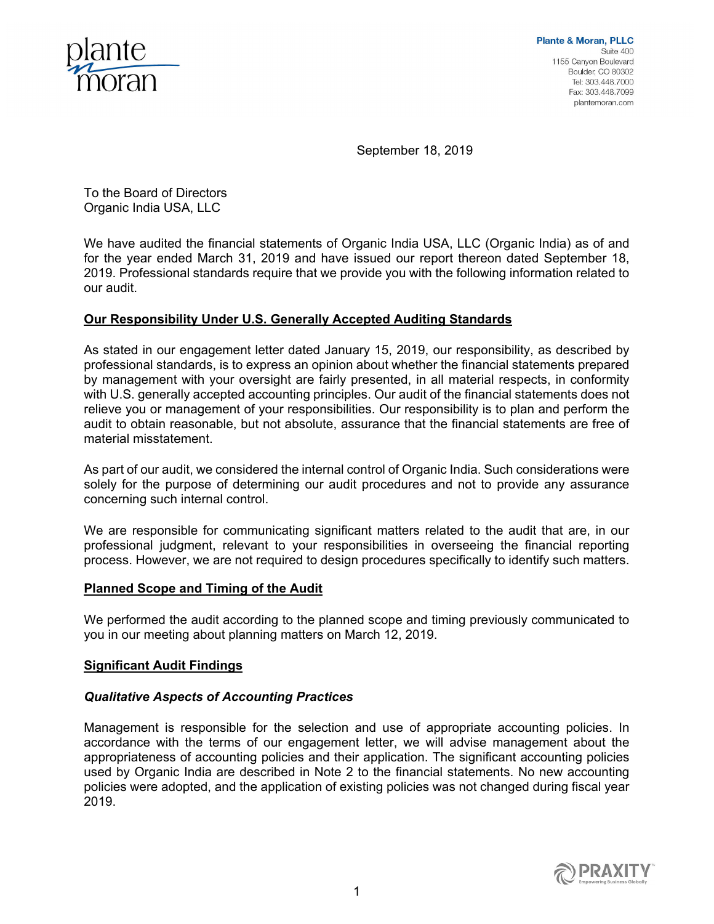

September 18, 2019

To the Board of Directors Organic India USA, LLC

We have audited the financial statements of Organic India USA, LLC (Organic India) as of and for the year ended March 31, 2019 and have issued our report thereon dated September 18, 2019. Professional standards require that we provide you with the following information related to our audit.

# **Our Responsibility Under U.S. Generally Accepted Auditing Standards**

As stated in our engagement letter dated January 15, 2019, our responsibility, as described by professional standards, is to express an opinion about whether the financial statements prepared by management with your oversight are fairly presented, in all material respects, in conformity with U.S. generally accepted accounting principles. Our audit of the financial statements does not relieve you or management of your responsibilities. Our responsibility is to plan and perform the audit to obtain reasonable, but not absolute, assurance that the financial statements are free of material misstatement.

As part of our audit, we considered the internal control of Organic India. Such considerations were solely for the purpose of determining our audit procedures and not to provide any assurance concerning such internal control.

We are responsible for communicating significant matters related to the audit that are, in our professional judgment, relevant to your responsibilities in overseeing the financial reporting process. However, we are not required to design procedures specifically to identify such matters.

## **Planned Scope and Timing of the Audit**

We performed the audit according to the planned scope and timing previously communicated to you in our meeting about planning matters on March 12, 2019.

## **Significant Audit Findings**

## *Qualitative Aspects of Accounting Practices*

Management is responsible for the selection and use of appropriate accounting policies. In accordance with the terms of our engagement letter, we will advise management about the appropriateness of accounting policies and their application. The significant accounting policies used by Organic India are described in Note 2 to the financial statements. No new accounting policies were adopted, and the application of existing policies was not changed during fiscal year 2019.

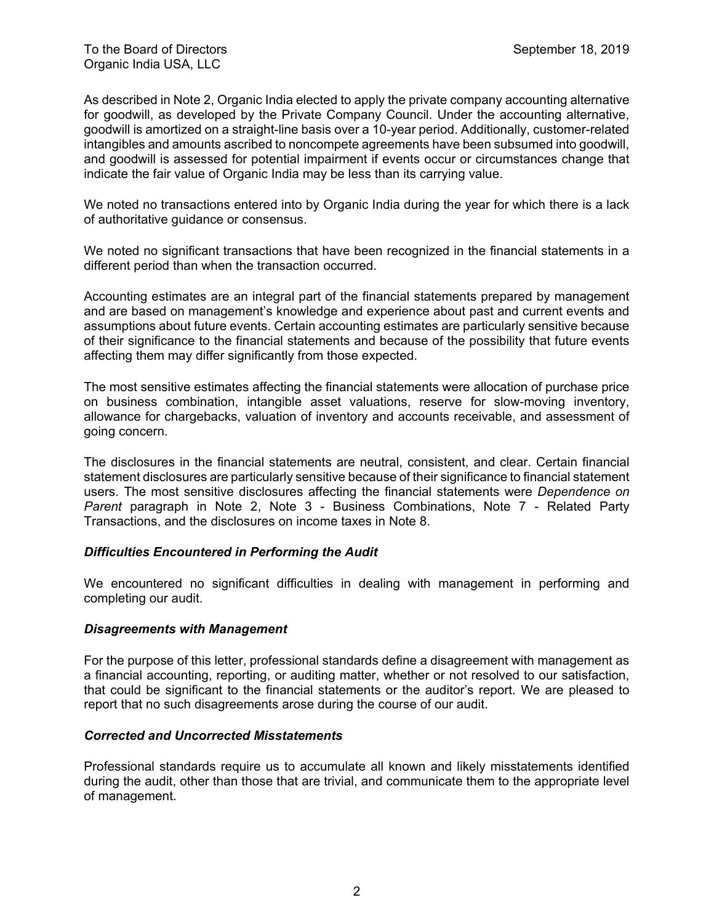As described in Note 2, Organic India elected to apply the private company accounting alternative for goodwill, as developed by the Private Company Council. Under the accounting alternative, goodwill is amortized on a straight-line basis over a 10-year period. Additionally, customer-related intangibles and amounts ascribed to noncompete agreements have been subsumed into goodwill, and goodwill is assessed for potential impairment if events occur or circumstances change that indicate the fair value of Organic India may be less than its carrying value.

We noted no transactions entered into by Organic India during the year for which there is a lack of authoritative guidance or consensus.

We noted no significant transactions that have been recognized in the financial statements in a different period than when the transaction occurred.

Accounting estimates are an integral part of the financial statements prepared by management and are based on management's knowledge and experience about past and current events and assumptions about future events. Certain accounting estimates are particularly sensitive because of their significance to the financial statements and because of the possibility that future events affecting them may differ significantly from those expected.

The most sensitive estimates affecting the financial statements were allocation of purchase price on business combination, intangible asset valuations, reserve for slow-moving inventory, allowance for chargebacks, valuation of inventory and accounts receivable, and assessment of going concern.

The disclosures in the financial statements are neutral, consistent, and clear. Certain financial statement disclosures are particularly sensitive because of their significance to financial statement users. The most sensitive disclosures affecting the financial statements were *Dependence on Parent* paragraph in Note 2, Note 3 - Business Combinations, Note 7 - Related Party Transactions, and the disclosures on income taxes in Note 8.

# *Difficulties Encountered in Performing the Audit*

We encountered no significant difficulties in dealing with management in performing and completing our audit.

## *Disagreements with Management*

For the purpose of this letter, professional standards define a disagreement with management as a financial accounting, reporting, or auditing matter, whether or not resolved to our satisfaction, that could be significant to the financial statements or the auditor's report. We are pleased to report that no such disagreements arose during the course of our audit.

## *Corrected and Uncorrected Misstatements*

Professional standards require us to accumulate all known and likely misstatements identified during the audit, other than those that are trivial, and communicate them to the appropriate level of management.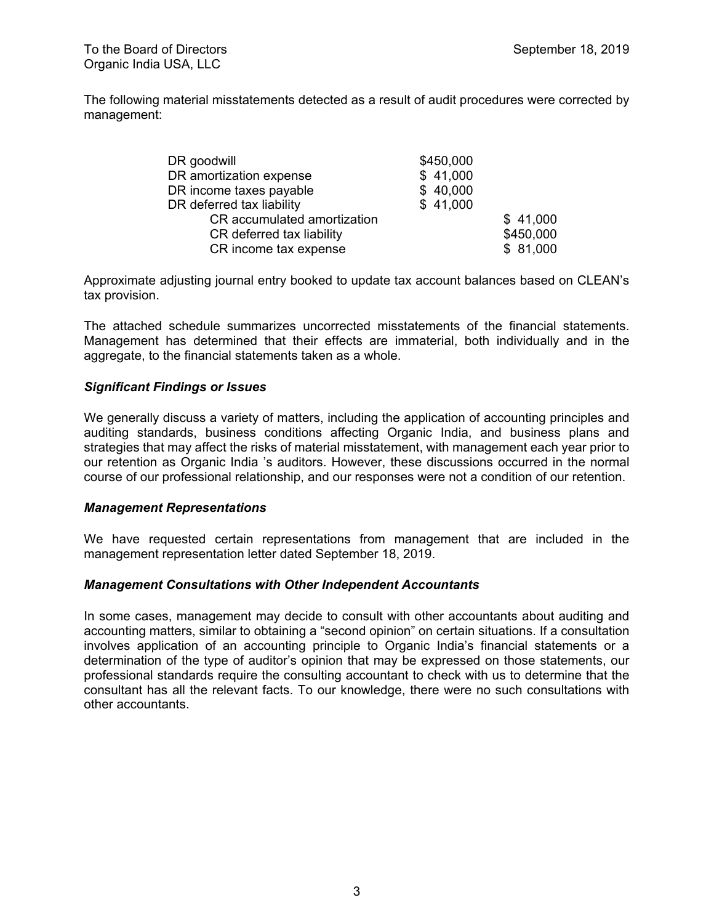To the Board of Directors **September 18, 2019** September 18, 2019 Organic India USA, LLC

The following material misstatements detected as a result of audit procedures were corrected by management:

| DR goodwill                 | \$450,000 |           |
|-----------------------------|-----------|-----------|
| DR amortization expense     | \$41,000  |           |
| DR income taxes payable     | \$40,000  |           |
| DR deferred tax liability   | \$41,000  |           |
| CR accumulated amortization |           | \$41,000  |
| CR deferred tax liability   |           | \$450,000 |
| CR income tax expense       |           | \$81,000  |

Approximate adjusting journal entry booked to update tax account balances based on CLEAN's tax provision.

The attached schedule summarizes uncorrected misstatements of the financial statements. Management has determined that their effects are immaterial, both individually and in the aggregate, to the financial statements taken as a whole.

# *Significant Findings or Issues*

We generally discuss a variety of matters, including the application of accounting principles and auditing standards, business conditions affecting Organic India, and business plans and strategies that may affect the risks of material misstatement, with management each year prior to our retention as Organic India 's auditors. However, these discussions occurred in the normal course of our professional relationship, and our responses were not a condition of our retention.

## *Management Representations*

We have requested certain representations from management that are included in the management representation letter dated September 18, 2019.

## *Management Consultations with Other Independent Accountants*

In some cases, management may decide to consult with other accountants about auditing and accounting matters, similar to obtaining a "second opinion" on certain situations. If a consultation involves application of an accounting principle to Organic India's financial statements or a determination of the type of auditor's opinion that may be expressed on those statements, our professional standards require the consulting accountant to check with us to determine that the consultant has all the relevant facts. To our knowledge, there were no such consultations with other accountants.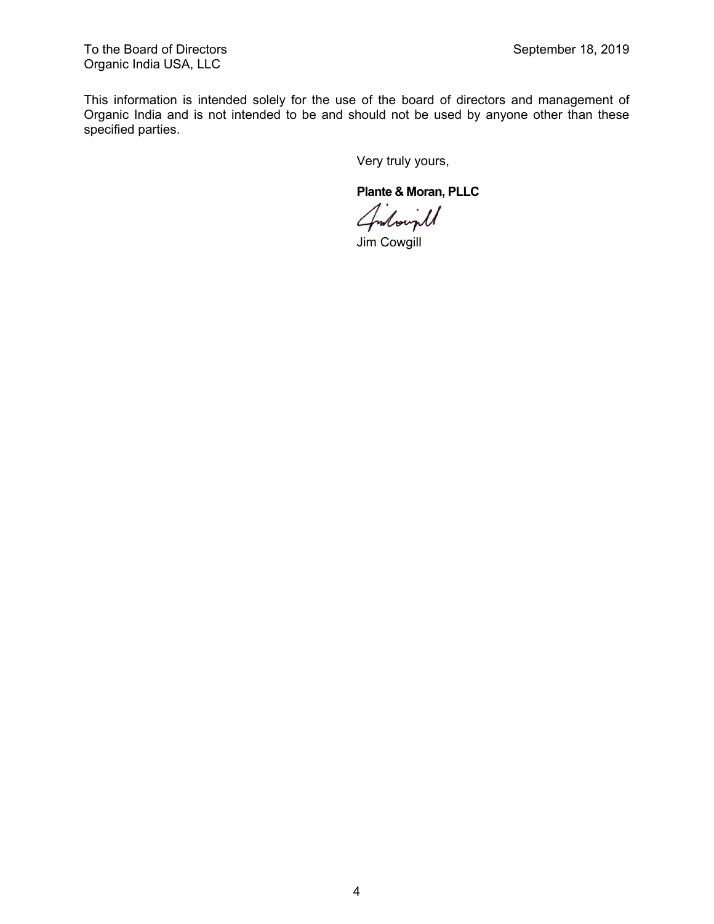To the Board of Directors **September 18, 2019** September 18, 2019 Organic India USA, LLC

This information is intended solely for the use of the board of directors and management of Organic India and is not intended to be and should not be used by anyone other than these specified parties.

Very truly yours,

**Plante & Moran, PLLC**

Jim Cowgill